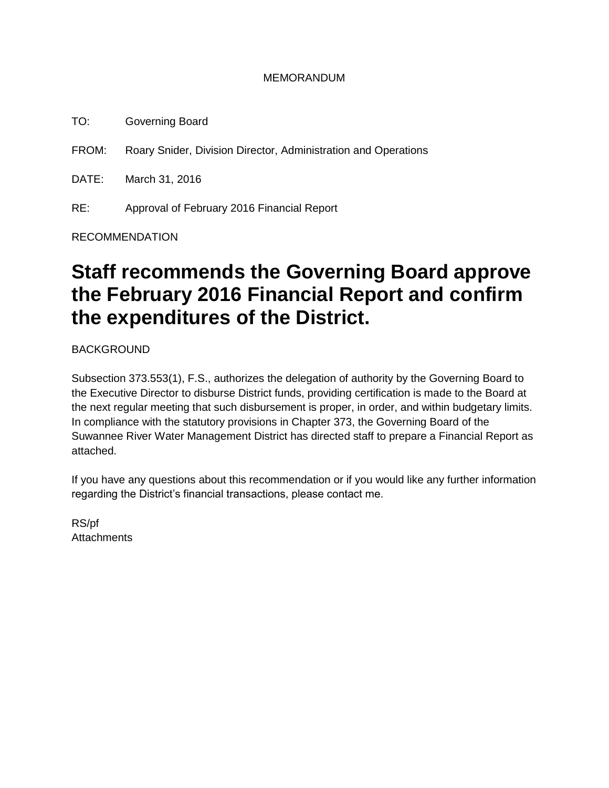#### MEMORANDUM

TO: Governing Board

FROM: Roary Snider, Division Director, Administration and Operations

DATE: March 31, 2016

RE: Approval of February 2016 Financial Report

RECOMMENDATION

# **Staff recommends the Governing Board approve the February 2016 Financial Report and confirm the expenditures of the District.**

BACKGROUND

Subsection 373.553(1), F.S., authorizes the delegation of authority by the Governing Board to the Executive Director to disburse District funds, providing certification is made to the Board at the next regular meeting that such disbursement is proper, in order, and within budgetary limits. In compliance with the statutory provisions in Chapter 373, the Governing Board of the Suwannee River Water Management District has directed staff to prepare a Financial Report as attached.

If you have any questions about this recommendation or if you would like any further information regarding the District's financial transactions, please contact me.

RS/pf **Attachments**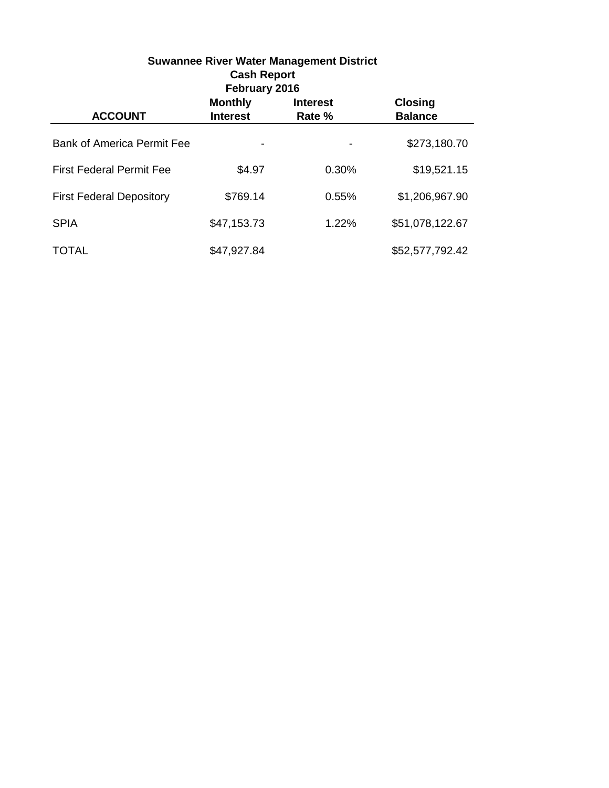| <b>Suwannee River Water Management District</b><br><b>Cash Report</b><br>February 2016 |                                   |                           |                                  |  |  |
|----------------------------------------------------------------------------------------|-----------------------------------|---------------------------|----------------------------------|--|--|
| <b>ACCOUNT</b>                                                                         | <b>Monthly</b><br><b>Interest</b> | <b>Interest</b><br>Rate % | <b>Closing</b><br><b>Balance</b> |  |  |
| <b>Bank of America Permit Fee</b>                                                      |                                   |                           | \$273,180.70                     |  |  |
| <b>First Federal Permit Fee</b>                                                        | \$4.97                            | 0.30%                     | \$19,521.15                      |  |  |
| <b>First Federal Depository</b>                                                        | \$769.14                          | 0.55%                     | \$1,206,967.90                   |  |  |
| <b>SPIA</b>                                                                            | \$47,153.73                       | 1.22%                     | \$51,078,122.67                  |  |  |
| TOTAL                                                                                  | \$47,927.84                       |                           | \$52,577,792.42                  |  |  |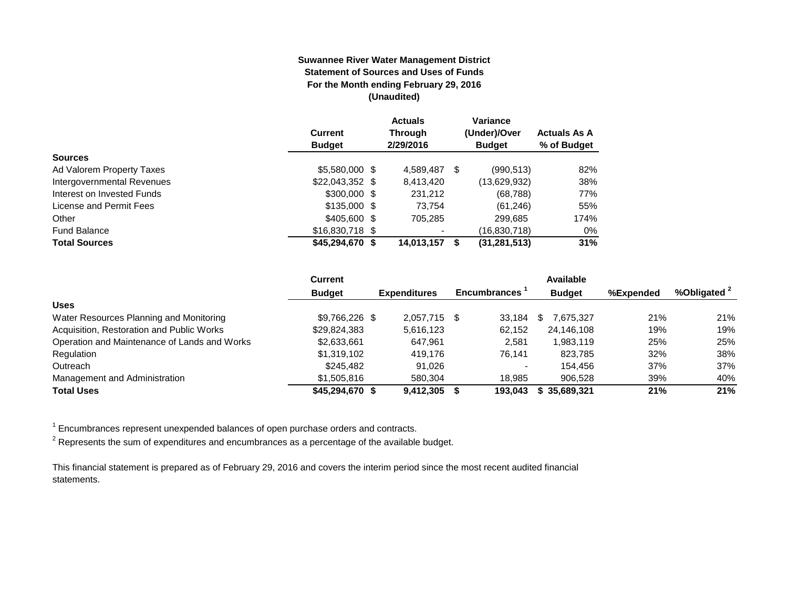#### **Suwannee River Water Management District Statement of Sources and Uses of Funds For the Month ending February 29, 2016 (Unaudited)**

|                            |                  | <b>Actuals</b> |   | Variance       |                     |
|----------------------------|------------------|----------------|---|----------------|---------------------|
|                            | Current          | Through        |   | (Under)/Over   | <b>Actuals As A</b> |
|                            | <b>Budget</b>    | 2/29/2016      |   | <b>Budget</b>  | % of Budget         |
| <b>Sources</b>             |                  |                |   |                |                     |
| Ad Valorem Property Taxes  | \$5,580,000 \$   | 4,589,487      | S | (990, 513)     | 82%                 |
| Intergovernmental Revenues | $$22,043,352$ \$ | 8,413,420      |   | (13,629,932)   | 38%                 |
| Interest on Invested Funds | \$300,000 \$     | 231,212        |   | (68, 788)      | 77%                 |
| License and Permit Fees    | $$135,000$ \$    | 73.754         |   | (61, 246)      | 55%                 |
| Other                      | $$405,600$ \$    | 705.285        |   | 299,685        | 174%                |
| <b>Fund Balance</b>        | $$16,830,718$ \$ |                |   | (16,830,718)   | 0%                  |
| <b>Total Sources</b>       | $$45,294,670$ \$ | 14,013,157     |   | (31, 281, 513) | 31%                 |

|                                              | <b>Current</b>  |                     |      |              | <b>Available</b> |           |                         |
|----------------------------------------------|-----------------|---------------------|------|--------------|------------------|-----------|-------------------------|
|                                              | <b>Budget</b>   | <b>Expenditures</b> |      | Encumbrances | <b>Budget</b>    | %Expended | %Obligated <sup>2</sup> |
| <b>Uses</b>                                  |                 |                     |      |              |                  |           |                         |
| Water Resources Planning and Monitoring      | \$9.766.226 \$  | 2.057.715           | - \$ | 33.184       | 7,675,327        | 21%       | 21%                     |
| Acquisition, Restoration and Public Works    | \$29,824,383    | 5,616,123           |      | 62,152       | 24,146,108       | 19%       | 19%                     |
| Operation and Maintenance of Lands and Works | \$2,633,661     | 647.961             |      | 2.581        | 1.983.119        | 25%       | 25%                     |
| Regulation                                   | \$1,319,102     | 419.176             |      | 76.141       | 823,785          | 32%       | 38%                     |
| Outreach                                     | \$245.482       | 91.026              |      |              | 154.456          | 37%       | 37%                     |
| Management and Administration                | \$1,505,816     | 580.304             |      | 18.985       | 906.528          | 39%       | 40%                     |
| <b>Total Uses</b>                            | \$45,294,670 \$ | 9.412.305           |      | 193.043      | 35.689.321       | 21%       | 21%                     |

 $1$  Encumbrances represent unexpended balances of open purchase orders and contracts.

 $^{\text{2}}$  Represents the sum of expenditures and encumbrances as a percentage of the available budget.

This financial statement is prepared as of February 29, 2016 and covers the interim period since the most recent audited financial statements.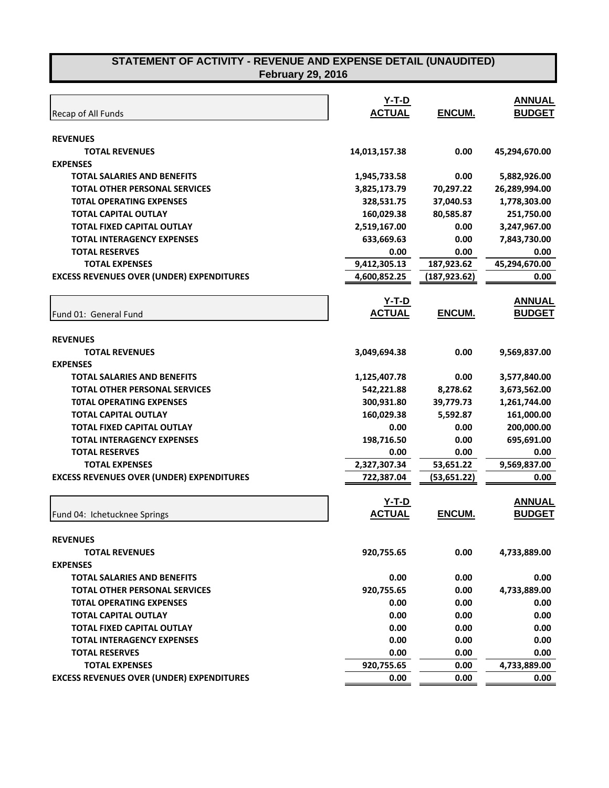| Recap of All Funds                               | Y-T-D<br><b>ACTUAL</b> | ENCUM.        | <b>ANNUAL</b><br><b>BUDGET</b> |
|--------------------------------------------------|------------------------|---------------|--------------------------------|
| <b>REVENUES</b>                                  |                        |               |                                |
| <b>TOTAL REVENUES</b>                            | 14,013,157.38          | 0.00          | 45,294,670.00                  |
| <b>EXPENSES</b>                                  |                        |               |                                |
| <b>TOTAL SALARIES AND BENEFITS</b>               | 1,945,733.58           | 0.00          | 5,882,926.00                   |
| <b>TOTAL OTHER PERSONAL SERVICES</b>             | 3,825,173.79           | 70,297.22     | 26,289,994.00                  |
| <b>TOTAL OPERATING EXPENSES</b>                  | 328,531.75             | 37,040.53     | 1,778,303.00                   |
| <b>TOTAL CAPITAL OUTLAY</b>                      | 160,029.38             | 80,585.87     | 251,750.00                     |
| <b>TOTAL FIXED CAPITAL OUTLAY</b>                | 2,519,167.00           | 0.00          | 3,247,967.00                   |
| <b>TOTAL INTERAGENCY EXPENSES</b>                | 633,669.63             | 0.00          | 7,843,730.00                   |
| <b>TOTAL RESERVES</b>                            | 0.00                   | 0.00          | 0.00                           |
| <b>TOTAL EXPENSES</b>                            | 9,412,305.13           | 187,923.62    | 45,294,670.00                  |
| <b>EXCESS REVENUES OVER (UNDER) EXPENDITURES</b> | 4,600,852.25           | (187, 923.62) | 0.00                           |
|                                                  | $Y-T-D$                |               | <b>ANNUAL</b>                  |
| Fund 01: General Fund                            | <b>ACTUAL</b>          | <b>ENCUM.</b> | <b>BUDGET</b>                  |
|                                                  |                        |               |                                |
| <b>REVENUES</b>                                  |                        |               |                                |
| <b>TOTAL REVENUES</b>                            | 3,049,694.38           | 0.00          | 9,569,837.00                   |
| <b>EXPENSES</b>                                  |                        |               |                                |
| <b>TOTAL SALARIES AND BENEFITS</b>               | 1,125,407.78           | 0.00          | 3,577,840.00                   |
| <b>TOTAL OTHER PERSONAL SERVICES</b>             | 542,221.88             | 8,278.62      | 3,673,562.00                   |
| <b>TOTAL OPERATING EXPENSES</b>                  | 300,931.80             | 39,779.73     | 1,261,744.00                   |
| <b>TOTAL CAPITAL OUTLAY</b>                      | 160,029.38             | 5,592.87      | 161,000.00                     |
| <b>TOTAL FIXED CAPITAL OUTLAY</b>                | 0.00                   | 0.00          | 200,000.00                     |
| <b>TOTAL INTERAGENCY EXPENSES</b>                | 198,716.50             | 0.00          | 695,691.00                     |
| <b>TOTAL RESERVES</b>                            | 0.00                   | 0.00          | 0.00                           |
| <b>TOTAL EXPENSES</b>                            | 2,327,307.34           | 53,651.22     | 9,569,837.00                   |
| <b>EXCESS REVENUES OVER (UNDER) EXPENDITURES</b> | 722,387.04             | (53, 651.22)  | 0.00                           |
|                                                  | <u>Y-T-D</u>           |               | <b>ANNUAL</b>                  |
| Fund 04: Ichetucknee Springs                     | <b>ACTUAL</b>          | ENCUM.        | <b>BUDGET</b>                  |
|                                                  |                        |               |                                |
| <b>REVENUES</b>                                  |                        |               |                                |
| <b>TOTAL REVENUES</b>                            | 920,755.65             | 0.00          | 4,733,889.00                   |
| <b>EXPENSES</b>                                  |                        |               |                                |
| <b>TOTAL SALARIES AND BENEFITS</b>               | 0.00                   | 0.00          | 0.00                           |
| <b>TOTAL OTHER PERSONAL SERVICES</b>             | 920,755.65             | 0.00          | 4,733,889.00                   |
| <b>TOTAL OPERATING EXPENSES</b>                  | 0.00                   | 0.00          | 0.00                           |
| <b>TOTAL CAPITAL OUTLAY</b>                      | 0.00                   | 0.00          | 0.00                           |
| TOTAL FIXED CAPITAL OUTLAY                       | 0.00                   | 0.00          | 0.00                           |
| <b>TOTAL INTERAGENCY EXPENSES</b>                | 0.00                   | 0.00          | 0.00                           |
| <b>TOTAL RESERVES</b>                            | 0.00                   | 0.00          | 0.00                           |
| <b>TOTAL EXPENSES</b>                            | 920,755.65             | 0.00          | 4,733,889.00                   |
| <b>EXCESS REVENUES OVER (UNDER) EXPENDITURES</b> | 0.00                   | 0.00          | 0.00                           |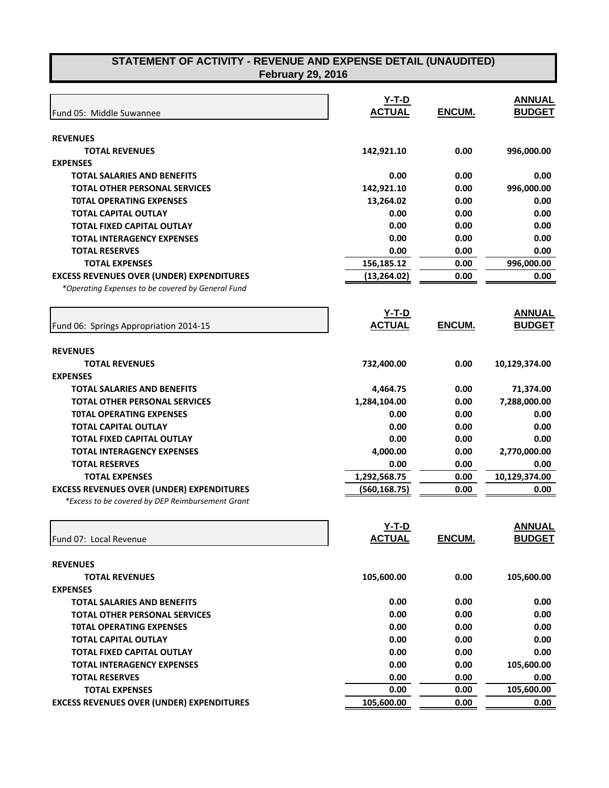|                                                   | Y-T-D         |        | <b>ANNUAL</b> |
|---------------------------------------------------|---------------|--------|---------------|
| Fund 05: Middle Suwannee                          | <b>ACTUAL</b> | ENCUM. | <b>BUDGET</b> |
| <b>REVENUES</b>                                   |               |        |               |
| <b>TOTAL REVENUES</b>                             | 142,921.10    | 0.00   | 996,000.00    |
| <b>EXPENSES</b>                                   |               |        |               |
| <b>TOTAL SALARIES AND BENEFITS</b>                | 0.00          | 0.00   | 0.00          |
| <b>TOTAL OTHER PERSONAL SERVICES</b>              | 142,921.10    | 0.00   | 996,000.00    |
| <b>TOTAL OPERATING EXPENSES</b>                   | 13,264.02     | 0.00   | 0.00          |
| <b>TOTAL CAPITAL OUTLAY</b>                       | 0.00          | 0.00   | 0.00          |
| <b>TOTAL FIXED CAPITAL OUTLAY</b>                 | 0.00          | 0.00   | 0.00          |
| <b>TOTAL INTERAGENCY EXPENSES</b>                 | 0.00          | 0.00   | 0.00          |
| <b>TOTAL RESERVES</b>                             | 0.00          | 0.00   | 0.00          |
| <b>TOTAL EXPENSES</b>                             | 156,185.12    | 0.00   | 996,000.00    |
| <b>EXCESS REVENUES OVER (UNDER) EXPENDITURES</b>  | (13, 264.02)  | 0.00   | 0.00          |
| *Operating Expenses to be covered by General Fund |               |        |               |
|                                                   | $Y-T-D$       |        | <b>ANNUAL</b> |
| Fund 06: Springs Appropriation 2014-15            | <b>ACTUAL</b> | ENCUM. | <b>BUDGET</b> |
| <b>REVENUES</b>                                   |               |        |               |
| <b>TOTAL REVENUES</b>                             | 732,400.00    | 0.00   | 10,129,374.00 |
| <b>EXPENSES</b>                                   |               |        |               |
| <b>TOTAL SALARIES AND BENEFITS</b>                | 4,464.75      | 0.00   | 71,374.00     |
| <b>TOTAL OTHER PERSONAL SERVICES</b>              | 1,284,104.00  | 0.00   | 7,288,000.00  |
| <b>TOTAL OPERATING EXPENSES</b>                   | 0.00          | 0.00   | 0.00          |
| <b>TOTAL CAPITAL OUTLAY</b>                       | 0.00          | 0.00   | 0.00          |
| <b>TOTAL FIXED CAPITAL OUTLAY</b>                 | 0.00          | 0.00   | 0.00          |
| <b>TOTAL INTERAGENCY EXPENSES</b>                 | 4,000.00      | 0.00   | 2,770,000.00  |
| <b>TOTAL RESERVES</b>                             | 0.00          | 0.00   | 0.00          |
| <b>TOTAL EXPENSES</b>                             | 1,292,568.75  | 0.00   | 10,129,374.00 |
| <b>EXCESS REVENUES OVER (UNDER) EXPENDITURES</b>  | (560, 168.75) | 0.00   | 0.00          |
| *Excess to be covered by DEP Reimbursement Grant  |               |        |               |
|                                                   | $Y-T-D$       |        | <b>ANNUAL</b> |
| Fund 07: Local Revenue                            | <b>ACTUAL</b> | ENCUM. | <b>BUDGET</b> |
| <b>REVENUES</b>                                   |               |        |               |
| <b>TOTAL REVENUES</b>                             | 105,600.00    | 0.00   | 105,600.00    |
| <b>EXPENSES</b>                                   |               |        |               |
| <b>TOTAL SALARIES AND BENEFITS</b>                | 0.00          | 0.00   | 0.00          |
| <b>TOTAL OTHER PERSONAL SERVICES</b>              | 0.00          | 0.00   | 0.00          |
| <b>TOTAL OPERATING EXPENSES</b>                   | 0.00          | 0.00   | 0.00          |
| <b>TOTAL CAPITAL OUTLAY</b>                       | 0.00          | 0.00   | 0.00          |
| <b>TOTAL FIXED CAPITAL OUTLAY</b>                 | 0.00          | 0.00   | 0.00          |
| <b>TOTAL INTERAGENCY EXPENSES</b>                 | 0.00          | 0.00   | 105,600.00    |
| <b>TOTAL RESERVES</b>                             | 0.00          | 0.00   | 0.00          |
| <b>TOTAL EXPENSES</b>                             | 0.00          | 0.00   | 105,600.00    |

**TOTAL EXPENSES**<br>REVENUES OVER (UNDER) EXPENDITURES 105,600.00 105,600.00

**EXCESS REVENUES OVER (UNDER) EXPENDITURES** 105,600.00 0.00 0.00 0.00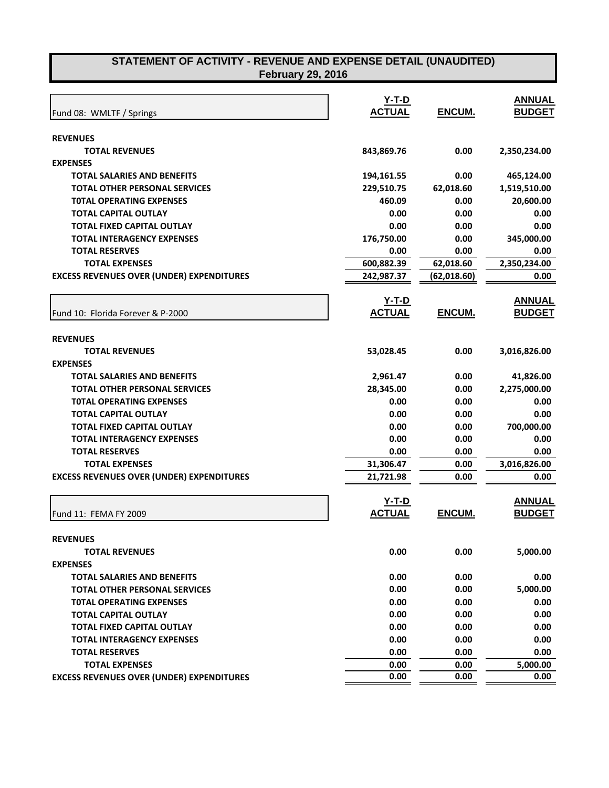| Fund 08: WMLTF / Springs                         | Y-T-D<br><b>ACTUAL</b> | ENCUM.        | <b>ANNUAL</b><br><b>BUDGET</b> |
|--------------------------------------------------|------------------------|---------------|--------------------------------|
| <b>REVENUES</b>                                  |                        |               |                                |
| <b>TOTAL REVENUES</b>                            | 843,869.76             | 0.00          | 2,350,234.00                   |
| <b>EXPENSES</b>                                  |                        |               |                                |
| <b>TOTAL SALARIES AND BENEFITS</b>               | 194,161.55             | 0.00          | 465,124.00                     |
| <b>TOTAL OTHER PERSONAL SERVICES</b>             | 229,510.75             | 62,018.60     | 1,519,510.00                   |
| <b>TOTAL OPERATING EXPENSES</b>                  | 460.09                 | 0.00          | 20,600.00                      |
| <b>TOTAL CAPITAL OUTLAY</b>                      | 0.00                   | 0.00          | 0.00                           |
| <b>TOTAL FIXED CAPITAL OUTLAY</b>                | 0.00                   | 0.00          | 0.00                           |
| <b>TOTAL INTERAGENCY EXPENSES</b>                | 176,750.00             | 0.00          | 345,000.00                     |
| <b>TOTAL RESERVES</b>                            | 0.00                   | 0.00          | 0.00                           |
| <b>TOTAL EXPENSES</b>                            | 600,882.39             | 62,018.60     | 2,350,234.00                   |
| <b>EXCESS REVENUES OVER (UNDER) EXPENDITURES</b> | 242,987.37             | (62, 018.60)  | 0.00                           |
|                                                  |                        |               |                                |
|                                                  | <u>Y-T-D</u>           |               | <b>ANNUAL</b>                  |
| Fund 10: Florida Forever & P-2000                | <b>ACTUAL</b>          | <b>ENCUM.</b> | <b>BUDGET</b>                  |
|                                                  |                        |               |                                |
| <b>REVENUES</b>                                  |                        |               |                                |
| <b>TOTAL REVENUES</b>                            | 53,028.45              | 0.00          | 3,016,826.00                   |
| <b>EXPENSES</b>                                  |                        |               |                                |
| <b>TOTAL SALARIES AND BENEFITS</b>               | 2,961.47               | 0.00          | 41,826.00                      |
| <b>TOTAL OTHER PERSONAL SERVICES</b>             | 28,345.00              | 0.00          | 2,275,000.00                   |
| <b>TOTAL OPERATING EXPENSES</b>                  | 0.00                   | 0.00          | 0.00                           |
| <b>TOTAL CAPITAL OUTLAY</b>                      | 0.00                   | 0.00          | 0.00                           |
| TOTAL FIXED CAPITAL OUTLAY                       | 0.00                   | 0.00          | 700,000.00                     |
| <b>TOTAL INTERAGENCY EXPENSES</b>                | 0.00                   | 0.00          | 0.00                           |
| <b>TOTAL RESERVES</b>                            | 0.00                   | 0.00          | 0.00                           |
| <b>TOTAL EXPENSES</b>                            | 31,306.47              | 0.00          | 3,016,826.00                   |
| <b>EXCESS REVENUES OVER (UNDER) EXPENDITURES</b> | 21,721.98              | 0.00          | 0.00                           |
|                                                  |                        |               |                                |
|                                                  | $Y-T-D$                |               | <b>ANNUAL</b>                  |
| Fund 11: FEMA FY 2009                            | <b>ACTUAL</b>          | ENCUM.        | <b>BUDGET</b>                  |
|                                                  |                        |               |                                |
| <b>REVENUES</b>                                  |                        |               |                                |
| <b>TOTAL REVENUES</b>                            | 0.00                   | 0.00          | 5,000.00                       |
| <b>EXPENSES</b>                                  |                        |               |                                |
| <b>TOTAL SALARIES AND BENEFITS</b>               | 0.00                   | 0.00          | 0.00                           |
| <b>TOTAL OTHER PERSONAL SERVICES</b>             | 0.00                   | 0.00          | 5,000.00                       |
| <b>TOTAL OPERATING EXPENSES</b>                  | 0.00                   | 0.00          | 0.00                           |
| <b>TOTAL CAPITAL OUTLAY</b>                      | 0.00                   | 0.00          | 0.00                           |
| <b>TOTAL FIXED CAPITAL OUTLAY</b>                | 0.00                   | 0.00          | 0.00                           |
| <b>TOTAL INTERAGENCY EXPENSES</b>                | 0.00                   | 0.00          | 0.00                           |
| <b>TOTAL RESERVES</b>                            | 0.00                   | 0.00          | 0.00                           |
| <b>TOTAL EXPENSES</b>                            | 0.00                   | 0.00          | 5,000.00                       |
| <b>EXCESS REVENUES OVER (UNDER) EXPENDITURES</b> | 0.00                   | 0.00          | 0.00                           |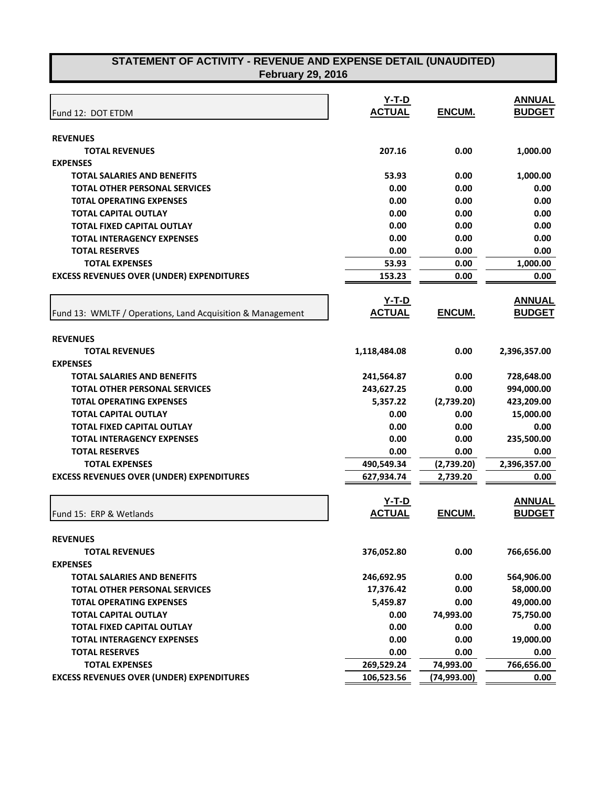| Fund 12: DOT ETDM                                          | Y-T-D<br><b>ACTUAL</b> | ENCUM.       | <b>ANNUAL</b><br><b>BUDGET</b> |
|------------------------------------------------------------|------------------------|--------------|--------------------------------|
|                                                            |                        |              |                                |
| <b>REVENUES</b>                                            |                        |              |                                |
| <b>TOTAL REVENUES</b>                                      | 207.16                 | 0.00         | 1,000.00                       |
| <b>EXPENSES</b>                                            |                        |              |                                |
| <b>TOTAL SALARIES AND BENEFITS</b>                         | 53.93                  | 0.00         | 1,000.00                       |
| <b>TOTAL OTHER PERSONAL SERVICES</b>                       | 0.00                   | 0.00         | 0.00                           |
| <b>TOTAL OPERATING EXPENSES</b>                            | 0.00                   | 0.00         | 0.00                           |
| <b>TOTAL CAPITAL OUTLAY</b>                                | 0.00                   | 0.00         | 0.00                           |
| <b>TOTAL FIXED CAPITAL OUTLAY</b>                          | 0.00                   | 0.00         | 0.00                           |
| <b>TOTAL INTERAGENCY EXPENSES</b>                          | 0.00                   | 0.00         | 0.00                           |
| <b>TOTAL RESERVES</b>                                      | 0.00                   | 0.00         | 0.00                           |
| <b>TOTAL EXPENSES</b>                                      | 53.93                  | 0.00         | 1,000.00                       |
| <b>EXCESS REVENUES OVER (UNDER) EXPENDITURES</b>           | 153.23                 | 0.00         | 0.00                           |
|                                                            |                        |              |                                |
|                                                            | <u>Y-T-D</u>           |              | <b>ANNUAL</b>                  |
| Fund 13: WMLTF / Operations, Land Acquisition & Management | <b>ACTUAL</b>          | ENCUM.       | <b>BUDGET</b>                  |
|                                                            |                        |              |                                |
| <b>REVENUES</b>                                            |                        |              |                                |
| <b>TOTAL REVENUES</b>                                      | 1,118,484.08           | 0.00         | 2,396,357.00                   |
| <b>EXPENSES</b>                                            |                        |              |                                |
| <b>TOTAL SALARIES AND BENEFITS</b>                         | 241,564.87             | 0.00         | 728,648.00                     |
| <b>TOTAL OTHER PERSONAL SERVICES</b>                       | 243,627.25             | 0.00         | 994,000.00                     |
| <b>TOTAL OPERATING EXPENSES</b>                            | 5,357.22               | (2,739.20)   | 423,209.00                     |
| <b>TOTAL CAPITAL OUTLAY</b>                                | 0.00                   | 0.00         | 15,000.00                      |
| <b>TOTAL FIXED CAPITAL OUTLAY</b>                          | 0.00                   | 0.00         | 0.00                           |
| <b>TOTAL INTERAGENCY EXPENSES</b>                          | 0.00                   | 0.00         | 235,500.00                     |
| <b>TOTAL RESERVES</b>                                      | 0.00                   | 0.00         | 0.00                           |
| <b>TOTAL EXPENSES</b>                                      | 490,549.34             | (2,739.20)   | 2,396,357.00                   |
| <b>EXCESS REVENUES OVER (UNDER) EXPENDITURES</b>           | 627,934.74             | 2,739.20     | 0.00                           |
|                                                            |                        |              |                                |
|                                                            | $Y-T-D$                |              | <b>ANNUAL</b>                  |
| Fund 15: ERP & Wetlands                                    | <b>ACTUAL</b>          | ENCUM.       | <b>BUDGET</b>                  |
|                                                            |                        |              |                                |
| <b>REVENUES</b>                                            |                        |              |                                |
| <b>TOTAL REVENUES</b>                                      | 376,052.80             | 0.00         | 766,656.00                     |
| <b>EXPENSES</b>                                            |                        |              |                                |
| <b>TOTAL SALARIES AND BENEFITS</b>                         | 246,692.95             | 0.00         | 564,906.00                     |
| <b>TOTAL OTHER PERSONAL SERVICES</b>                       | 17,376.42              | 0.00         | 58,000.00                      |
| <b>TOTAL OPERATING EXPENSES</b>                            | 5,459.87               | 0.00         | 49,000.00                      |
| <b>TOTAL CAPITAL OUTLAY</b>                                | 0.00                   | 74,993.00    | 75,750.00                      |
| <b>TOTAL FIXED CAPITAL OUTLAY</b>                          | 0.00                   | 0.00         | 0.00                           |
| <b>TOTAL INTERAGENCY EXPENSES</b>                          | 0.00                   | 0.00         | 19,000.00                      |
| <b>TOTAL RESERVES</b>                                      | 0.00                   | 0.00         | 0.00                           |
| <b>TOTAL EXPENSES</b>                                      | 269,529.24             | 74,993.00    | 766,656.00                     |
| <b>EXCESS REVENUES OVER (UNDER) EXPENDITURES</b>           | 106,523.56             | (74, 993.00) | 0.00                           |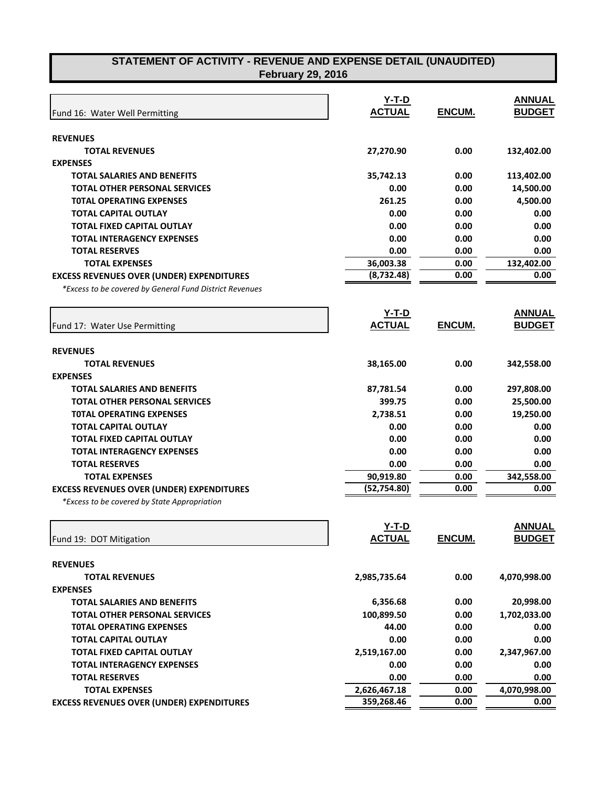|                                                                                                             | $Y-T-D$       |               | <b>ANNUAL</b> |
|-------------------------------------------------------------------------------------------------------------|---------------|---------------|---------------|
| Fund 16: Water Well Permitting                                                                              | <b>ACTUAL</b> | ENCUM.        | <b>BUDGET</b> |
|                                                                                                             |               |               |               |
| <b>REVENUES</b>                                                                                             |               |               |               |
| <b>TOTAL REVENUES</b><br><b>EXPENSES</b>                                                                    | 27,270.90     | 0.00          | 132,402.00    |
| <b>TOTAL SALARIES AND BENEFITS</b>                                                                          | 35,742.13     | 0.00          | 113,402.00    |
| <b>TOTAL OTHER PERSONAL SERVICES</b>                                                                        | 0.00          | 0.00          | 14,500.00     |
| <b>TOTAL OPERATING EXPENSES</b>                                                                             | 261.25        | 0.00          | 4,500.00      |
| <b>TOTAL CAPITAL OUTLAY</b>                                                                                 | 0.00          | 0.00          | 0.00          |
| <b>TOTAL FIXED CAPITAL OUTLAY</b>                                                                           | 0.00          | 0.00          | 0.00          |
| <b>TOTAL INTERAGENCY EXPENSES</b>                                                                           | 0.00          | 0.00          | 0.00          |
| <b>TOTAL RESERVES</b>                                                                                       | 0.00          | 0.00          | 0.00          |
| <b>TOTAL EXPENSES</b>                                                                                       | 36,003.38     |               | 132,402.00    |
|                                                                                                             | (8,732.48)    | 0.00<br>0.00  | 0.00          |
| <b>EXCESS REVENUES OVER (UNDER) EXPENDITURES</b><br>*Excess to be covered by General Fund District Revenues |               |               |               |
|                                                                                                             |               |               |               |
|                                                                                                             | <u>Y-T-D</u>  |               | <b>ANNUAL</b> |
| Fund 17: Water Use Permitting                                                                               | <b>ACTUAL</b> | <b>ENCUM.</b> | <b>BUDGET</b> |
| <b>REVENUES</b>                                                                                             |               |               |               |
| <b>TOTAL REVENUES</b>                                                                                       | 38,165.00     | 0.00          | 342,558.00    |
| <b>EXPENSES</b>                                                                                             |               |               |               |
| <b>TOTAL SALARIES AND BENEFITS</b>                                                                          | 87,781.54     | 0.00          | 297,808.00    |
| <b>TOTAL OTHER PERSONAL SERVICES</b>                                                                        | 399.75        | 0.00          | 25,500.00     |
| <b>TOTAL OPERATING EXPENSES</b>                                                                             | 2,738.51      | 0.00          | 19,250.00     |
| <b>TOTAL CAPITAL OUTLAY</b>                                                                                 | 0.00          | 0.00          | 0.00          |
| <b>TOTAL FIXED CAPITAL OUTLAY</b>                                                                           | 0.00          | 0.00          | 0.00          |
| <b>TOTAL INTERAGENCY EXPENSES</b>                                                                           | 0.00          | 0.00          | 0.00          |
| <b>TOTAL RESERVES</b>                                                                                       | 0.00          | 0.00          | 0.00          |
| <b>TOTAL EXPENSES</b>                                                                                       | 90,919.80     | 0.00          | 342,558.00    |
| <b>EXCESS REVENUES OVER (UNDER) EXPENDITURES</b>                                                            | (52, 754.80)  | 0.00          | 0.00          |
| *Excess to be covered by State Appropriation                                                                |               |               |               |
|                                                                                                             |               |               |               |
|                                                                                                             | Y-T-D         |               | ANNUAL        |
| Fund 19: DOT Mitigation                                                                                     | <b>ACTUAL</b> | <u>ENCUM.</u> | <b>BUDGET</b> |
| <b>REVENUES</b>                                                                                             |               |               |               |
| <b>TOTAL REVENUES</b>                                                                                       | 2,985,735.64  | 0.00          | 4,070,998.00  |
| <b>EXPENSES</b>                                                                                             |               |               |               |
| <b>TOTAL SALARIES AND BENEFITS</b>                                                                          | 6,356.68      | 0.00          | 20,998.00     |
| <b>TOTAL OTHER PERSONAL SERVICES</b>                                                                        | 100,899.50    | 0.00          | 1,702,033.00  |
| <b>TOTAL OPERATING EXPENSES</b>                                                                             | 44.00         | 0.00          | 0.00          |
| <b>TOTAL CAPITAL OUTLAY</b>                                                                                 | 0.00          | 0.00          | 0.00          |
| <b>TOTAL FIXED CAPITAL OUTLAY</b>                                                                           | 2,519,167.00  | 0.00          | 2,347,967.00  |
| <b>TOTAL INTERAGENCY EXPENSES</b>                                                                           | 0.00          | 0.00          | 0.00          |
| <b>TOTAL RESERVES</b>                                                                                       | 0.00          | 0.00          | 0.00          |
| <b>TOTAL EXPENSES</b>                                                                                       | 2,626,467.18  | 0.00          | 4,070,998.00  |
| <b>EXCESS REVENUES OVER (UNDER) EXPENDITURES</b>                                                            | 359,268.46    | 0.00          | 0.00          |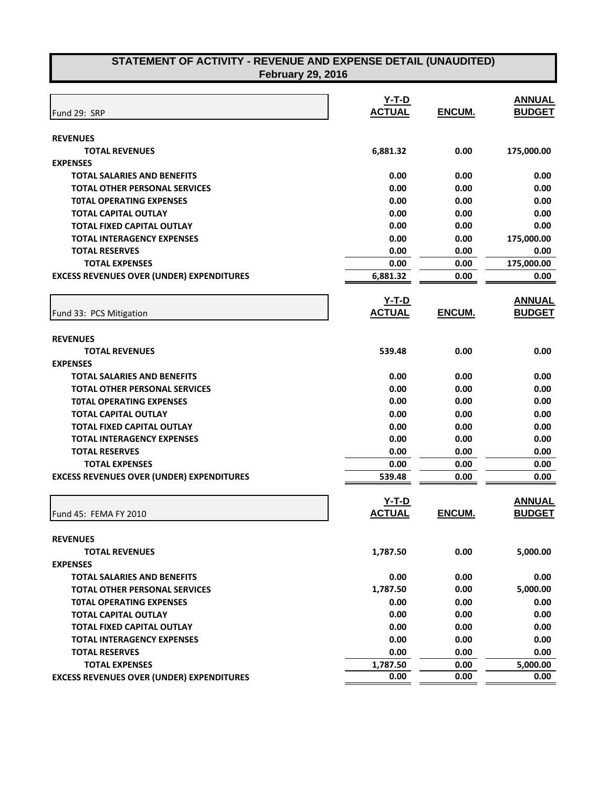| <b>REVENUES</b><br>6,881.32<br>0.00<br><b>TOTAL REVENUES</b><br><b>EXPENSES</b><br>0.00<br>0.00<br><b>TOTAL SALARIES AND BENEFITS</b><br>0.00<br>0.00<br><b>TOTAL OTHER PERSONAL SERVICES</b><br>0.00<br><b>TOTAL OPERATING EXPENSES</b><br>0.00<br>0.00<br>0.00<br><b>TOTAL CAPITAL OUTLAY</b><br>0.00<br><b>TOTAL FIXED CAPITAL OUTLAY</b><br>0.00<br>0.00<br><b>TOTAL INTERAGENCY EXPENSES</b><br>0.00<br><b>TOTAL RESERVES</b><br>0.00<br>0.00<br>0.00<br><b>TOTAL EXPENSES</b><br>0.00<br><b>EXCESS REVENUES OVER (UNDER) EXPENDITURES</b><br>6,881.32<br>0.00<br><b>Y-T-D</b><br><b>ACTUAL</b><br>ENCUM.<br>Fund 33: PCS Mitigation<br><b>REVENUES</b><br><b>TOTAL REVENUES</b><br>539.48<br>0.00<br><b>EXPENSES</b><br><b>TOTAL SALARIES AND BENEFITS</b><br>0.00<br>0.00<br>0.00<br>0.00<br><b>TOTAL OTHER PERSONAL SERVICES</b><br>0.00<br>0.00<br><b>TOTAL OPERATING EXPENSES</b><br><b>TOTAL CAPITAL OUTLAY</b><br>0.00<br>0.00<br><b>TOTAL FIXED CAPITAL OUTLAY</b><br>0.00<br>0.00<br><b>TOTAL INTERAGENCY EXPENSES</b><br>0.00<br>0.00<br>0.00<br><b>TOTAL RESERVES</b><br>0.00<br>0.00<br><b>TOTAL EXPENSES</b><br>0.00<br><b>EXCESS REVENUES OVER (UNDER) EXPENDITURES</b><br>0.00<br>539.48<br>Y-T-D<br><b>ACTUAL</b><br>ENCUM.<br>Fund 45: FEMA FY 2010<br><b>REVENUES</b><br>0.00<br>5,000.00<br><b>TOTAL REVENUES</b><br>1,787.50<br><b>EXPENSES</b><br><b>TOTAL SALARIES AND BENEFITS</b><br>0.00<br>0.00<br>0.00<br>1,787.50<br><b>TOTAL OTHER PERSONAL SERVICES</b> | Fund 29: SRP | Y-T-D<br><b>ACTUAL</b> | ENCUM. | <b>ANNUAL</b><br><b>BUDGET</b> |
|--------------------------------------------------------------------------------------------------------------------------------------------------------------------------------------------------------------------------------------------------------------------------------------------------------------------------------------------------------------------------------------------------------------------------------------------------------------------------------------------------------------------------------------------------------------------------------------------------------------------------------------------------------------------------------------------------------------------------------------------------------------------------------------------------------------------------------------------------------------------------------------------------------------------------------------------------------------------------------------------------------------------------------------------------------------------------------------------------------------------------------------------------------------------------------------------------------------------------------------------------------------------------------------------------------------------------------------------------------------------------------------------------------------------------------------------------------------------------------------------|--------------|------------------------|--------|--------------------------------|
|                                                                                                                                                                                                                                                                                                                                                                                                                                                                                                                                                                                                                                                                                                                                                                                                                                                                                                                                                                                                                                                                                                                                                                                                                                                                                                                                                                                                                                                                                            |              |                        |        |                                |
|                                                                                                                                                                                                                                                                                                                                                                                                                                                                                                                                                                                                                                                                                                                                                                                                                                                                                                                                                                                                                                                                                                                                                                                                                                                                                                                                                                                                                                                                                            |              |                        |        | 175,000.00                     |
|                                                                                                                                                                                                                                                                                                                                                                                                                                                                                                                                                                                                                                                                                                                                                                                                                                                                                                                                                                                                                                                                                                                                                                                                                                                                                                                                                                                                                                                                                            |              |                        |        |                                |
|                                                                                                                                                                                                                                                                                                                                                                                                                                                                                                                                                                                                                                                                                                                                                                                                                                                                                                                                                                                                                                                                                                                                                                                                                                                                                                                                                                                                                                                                                            |              |                        |        | 0.00                           |
|                                                                                                                                                                                                                                                                                                                                                                                                                                                                                                                                                                                                                                                                                                                                                                                                                                                                                                                                                                                                                                                                                                                                                                                                                                                                                                                                                                                                                                                                                            |              |                        |        | 0.00                           |
|                                                                                                                                                                                                                                                                                                                                                                                                                                                                                                                                                                                                                                                                                                                                                                                                                                                                                                                                                                                                                                                                                                                                                                                                                                                                                                                                                                                                                                                                                            |              |                        |        | 0.00                           |
|                                                                                                                                                                                                                                                                                                                                                                                                                                                                                                                                                                                                                                                                                                                                                                                                                                                                                                                                                                                                                                                                                                                                                                                                                                                                                                                                                                                                                                                                                            |              |                        |        | 0.00                           |
|                                                                                                                                                                                                                                                                                                                                                                                                                                                                                                                                                                                                                                                                                                                                                                                                                                                                                                                                                                                                                                                                                                                                                                                                                                                                                                                                                                                                                                                                                            |              |                        |        | 0.00                           |
|                                                                                                                                                                                                                                                                                                                                                                                                                                                                                                                                                                                                                                                                                                                                                                                                                                                                                                                                                                                                                                                                                                                                                                                                                                                                                                                                                                                                                                                                                            |              |                        |        | 175,000.00                     |
|                                                                                                                                                                                                                                                                                                                                                                                                                                                                                                                                                                                                                                                                                                                                                                                                                                                                                                                                                                                                                                                                                                                                                                                                                                                                                                                                                                                                                                                                                            |              |                        |        | 0.00                           |
|                                                                                                                                                                                                                                                                                                                                                                                                                                                                                                                                                                                                                                                                                                                                                                                                                                                                                                                                                                                                                                                                                                                                                                                                                                                                                                                                                                                                                                                                                            |              |                        |        | 175,000.00                     |
|                                                                                                                                                                                                                                                                                                                                                                                                                                                                                                                                                                                                                                                                                                                                                                                                                                                                                                                                                                                                                                                                                                                                                                                                                                                                                                                                                                                                                                                                                            |              |                        |        | 0.00                           |
|                                                                                                                                                                                                                                                                                                                                                                                                                                                                                                                                                                                                                                                                                                                                                                                                                                                                                                                                                                                                                                                                                                                                                                                                                                                                                                                                                                                                                                                                                            |              |                        |        | <b>ANNUAL</b>                  |
|                                                                                                                                                                                                                                                                                                                                                                                                                                                                                                                                                                                                                                                                                                                                                                                                                                                                                                                                                                                                                                                                                                                                                                                                                                                                                                                                                                                                                                                                                            |              |                        |        | <b>BUDGET</b>                  |
|                                                                                                                                                                                                                                                                                                                                                                                                                                                                                                                                                                                                                                                                                                                                                                                                                                                                                                                                                                                                                                                                                                                                                                                                                                                                                                                                                                                                                                                                                            |              |                        |        |                                |
|                                                                                                                                                                                                                                                                                                                                                                                                                                                                                                                                                                                                                                                                                                                                                                                                                                                                                                                                                                                                                                                                                                                                                                                                                                                                                                                                                                                                                                                                                            |              |                        |        | 0.00                           |
|                                                                                                                                                                                                                                                                                                                                                                                                                                                                                                                                                                                                                                                                                                                                                                                                                                                                                                                                                                                                                                                                                                                                                                                                                                                                                                                                                                                                                                                                                            |              |                        |        |                                |
|                                                                                                                                                                                                                                                                                                                                                                                                                                                                                                                                                                                                                                                                                                                                                                                                                                                                                                                                                                                                                                                                                                                                                                                                                                                                                                                                                                                                                                                                                            |              |                        |        | 0.00                           |
|                                                                                                                                                                                                                                                                                                                                                                                                                                                                                                                                                                                                                                                                                                                                                                                                                                                                                                                                                                                                                                                                                                                                                                                                                                                                                                                                                                                                                                                                                            |              |                        |        | 0.00                           |
|                                                                                                                                                                                                                                                                                                                                                                                                                                                                                                                                                                                                                                                                                                                                                                                                                                                                                                                                                                                                                                                                                                                                                                                                                                                                                                                                                                                                                                                                                            |              |                        |        | 0.00                           |
|                                                                                                                                                                                                                                                                                                                                                                                                                                                                                                                                                                                                                                                                                                                                                                                                                                                                                                                                                                                                                                                                                                                                                                                                                                                                                                                                                                                                                                                                                            |              |                        |        | 0.00                           |
|                                                                                                                                                                                                                                                                                                                                                                                                                                                                                                                                                                                                                                                                                                                                                                                                                                                                                                                                                                                                                                                                                                                                                                                                                                                                                                                                                                                                                                                                                            |              |                        |        | 0.00                           |
|                                                                                                                                                                                                                                                                                                                                                                                                                                                                                                                                                                                                                                                                                                                                                                                                                                                                                                                                                                                                                                                                                                                                                                                                                                                                                                                                                                                                                                                                                            |              |                        |        | 0.00                           |
|                                                                                                                                                                                                                                                                                                                                                                                                                                                                                                                                                                                                                                                                                                                                                                                                                                                                                                                                                                                                                                                                                                                                                                                                                                                                                                                                                                                                                                                                                            |              |                        |        | 0.00                           |
|                                                                                                                                                                                                                                                                                                                                                                                                                                                                                                                                                                                                                                                                                                                                                                                                                                                                                                                                                                                                                                                                                                                                                                                                                                                                                                                                                                                                                                                                                            |              |                        |        | 0.00                           |
|                                                                                                                                                                                                                                                                                                                                                                                                                                                                                                                                                                                                                                                                                                                                                                                                                                                                                                                                                                                                                                                                                                                                                                                                                                                                                                                                                                                                                                                                                            |              |                        |        | 0.00                           |
|                                                                                                                                                                                                                                                                                                                                                                                                                                                                                                                                                                                                                                                                                                                                                                                                                                                                                                                                                                                                                                                                                                                                                                                                                                                                                                                                                                                                                                                                                            |              |                        |        | <b>ANNUAL</b>                  |
|                                                                                                                                                                                                                                                                                                                                                                                                                                                                                                                                                                                                                                                                                                                                                                                                                                                                                                                                                                                                                                                                                                                                                                                                                                                                                                                                                                                                                                                                                            |              |                        |        | <b>BUDGET</b>                  |
|                                                                                                                                                                                                                                                                                                                                                                                                                                                                                                                                                                                                                                                                                                                                                                                                                                                                                                                                                                                                                                                                                                                                                                                                                                                                                                                                                                                                                                                                                            |              |                        |        |                                |
|                                                                                                                                                                                                                                                                                                                                                                                                                                                                                                                                                                                                                                                                                                                                                                                                                                                                                                                                                                                                                                                                                                                                                                                                                                                                                                                                                                                                                                                                                            |              |                        |        |                                |
|                                                                                                                                                                                                                                                                                                                                                                                                                                                                                                                                                                                                                                                                                                                                                                                                                                                                                                                                                                                                                                                                                                                                                                                                                                                                                                                                                                                                                                                                                            |              |                        |        |                                |
|                                                                                                                                                                                                                                                                                                                                                                                                                                                                                                                                                                                                                                                                                                                                                                                                                                                                                                                                                                                                                                                                                                                                                                                                                                                                                                                                                                                                                                                                                            |              |                        |        | 0.00                           |
|                                                                                                                                                                                                                                                                                                                                                                                                                                                                                                                                                                                                                                                                                                                                                                                                                                                                                                                                                                                                                                                                                                                                                                                                                                                                                                                                                                                                                                                                                            |              |                        |        | 5,000.00                       |
| <b>TOTAL OPERATING EXPENSES</b><br>0.00<br>0.00                                                                                                                                                                                                                                                                                                                                                                                                                                                                                                                                                                                                                                                                                                                                                                                                                                                                                                                                                                                                                                                                                                                                                                                                                                                                                                                                                                                                                                            |              |                        |        | 0.00                           |
| 0.00<br><b>TOTAL CAPITAL OUTLAY</b><br>0.00                                                                                                                                                                                                                                                                                                                                                                                                                                                                                                                                                                                                                                                                                                                                                                                                                                                                                                                                                                                                                                                                                                                                                                                                                                                                                                                                                                                                                                                |              |                        |        | 0.00                           |
| 0.00<br><b>TOTAL FIXED CAPITAL OUTLAY</b><br>0.00                                                                                                                                                                                                                                                                                                                                                                                                                                                                                                                                                                                                                                                                                                                                                                                                                                                                                                                                                                                                                                                                                                                                                                                                                                                                                                                                                                                                                                          |              |                        |        | 0.00                           |
| 0.00<br><b>TOTAL INTERAGENCY EXPENSES</b><br>0.00                                                                                                                                                                                                                                                                                                                                                                                                                                                                                                                                                                                                                                                                                                                                                                                                                                                                                                                                                                                                                                                                                                                                                                                                                                                                                                                                                                                                                                          |              |                        |        | 0.00                           |
| 0.00<br>0.00<br><b>TOTAL RESERVES</b>                                                                                                                                                                                                                                                                                                                                                                                                                                                                                                                                                                                                                                                                                                                                                                                                                                                                                                                                                                                                                                                                                                                                                                                                                                                                                                                                                                                                                                                      |              |                        |        | 0.00                           |
| <b>TOTAL EXPENSES</b><br>1,787.50<br>0.00                                                                                                                                                                                                                                                                                                                                                                                                                                                                                                                                                                                                                                                                                                                                                                                                                                                                                                                                                                                                                                                                                                                                                                                                                                                                                                                                                                                                                                                  |              |                        |        | 5,000.00                       |

**EXCESS REVENUES OVER (UNDER) EXPENDITURES 1.000** 0.00 0.00 0.00 0.00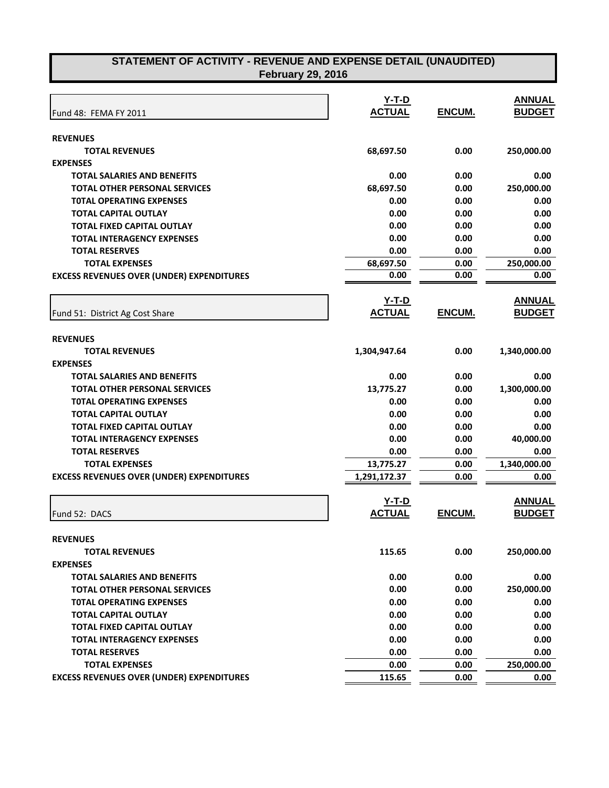| Fund 48: FEMA FY 2011                            | Y-T-D<br><b>ACTUAL</b> | ENCUM. | <b>ANNUAL</b><br><b>BUDGET</b> |
|--------------------------------------------------|------------------------|--------|--------------------------------|
| <b>REVENUES</b>                                  |                        |        |                                |
| <b>TOTAL REVENUES</b>                            | 68,697.50              | 0.00   | 250,000.00                     |
| <b>EXPENSES</b>                                  |                        |        |                                |
| <b>TOTAL SALARIES AND BENEFITS</b>               | 0.00                   | 0.00   | 0.00                           |
| <b>TOTAL OTHER PERSONAL SERVICES</b>             | 68,697.50              | 0.00   | 250,000.00                     |
| <b>TOTAL OPERATING EXPENSES</b>                  | 0.00                   | 0.00   | 0.00                           |
| <b>TOTAL CAPITAL OUTLAY</b>                      | 0.00                   | 0.00   | 0.00                           |
| <b>TOTAL FIXED CAPITAL OUTLAY</b>                | 0.00                   | 0.00   | 0.00                           |
| <b>TOTAL INTERAGENCY EXPENSES</b>                | 0.00                   | 0.00   | 0.00                           |
| <b>TOTAL RESERVES</b>                            | 0.00                   | 0.00   | 0.00                           |
| <b>TOTAL EXPENSES</b>                            | 68,697.50              | 0.00   | 250,000.00                     |
| <b>EXCESS REVENUES OVER (UNDER) EXPENDITURES</b> | 0.00                   | 0.00   | 0.00                           |
|                                                  | <u>Y-T-D</u>           |        | <b>ANNUAL</b>                  |
| Fund 51: District Ag Cost Share                  | <b>ACTUAL</b>          | ENCUM. | <b>BUDGET</b>                  |
|                                                  |                        |        |                                |
| <b>REVENUES</b>                                  |                        |        |                                |
| <b>TOTAL REVENUES</b>                            | 1,304,947.64           | 0.00   | 1,340,000.00                   |
| <b>EXPENSES</b>                                  |                        |        |                                |
| <b>TOTAL SALARIES AND BENEFITS</b>               | 0.00                   | 0.00   | 0.00                           |
| <b>TOTAL OTHER PERSONAL SERVICES</b>             | 13,775.27              | 0.00   | 1,300,000.00                   |
| <b>TOTAL OPERATING EXPENSES</b>                  | 0.00                   | 0.00   | 0.00                           |
| <b>TOTAL CAPITAL OUTLAY</b>                      | 0.00                   | 0.00   | 0.00                           |
| TOTAL FIXED CAPITAL OUTLAY                       | 0.00                   | 0.00   | 0.00                           |
| <b>TOTAL INTERAGENCY EXPENSES</b>                | 0.00                   | 0.00   | 40,000.00                      |
| <b>TOTAL RESERVES</b>                            | 0.00                   | 0.00   | 0.00                           |
| <b>TOTAL EXPENSES</b>                            | 13,775.27              | 0.00   | 1,340,000.00                   |
| <b>EXCESS REVENUES OVER (UNDER) EXPENDITURES</b> | 1,291,172.37           | 0.00   | 0.00                           |
|                                                  | $Y-T-D$                |        | <b>ANNUAL</b>                  |
| Fund 52: DACS                                    | <b>ACTUAL</b>          | ENCUM. | <b>BUDGET</b>                  |
|                                                  |                        |        |                                |
| <b>REVENUES</b>                                  |                        |        |                                |
| <b>TOTAL REVENUES</b>                            | 115.65                 | 0.00   | 250,000.00                     |
| <b>EXPENSES</b>                                  |                        |        |                                |
| <b>TOTAL SALARIES AND BENEFITS</b>               | 0.00                   | 0.00   | 0.00                           |
| <b>TOTAL OTHER PERSONAL SERVICES</b>             | 0.00                   | 0.00   | 250,000.00                     |
| <b>TOTAL OPERATING EXPENSES</b>                  | 0.00                   | 0.00   | 0.00                           |
| <b>TOTAL CAPITAL OUTLAY</b>                      | 0.00                   | 0.00   | 0.00                           |
| <b>TOTAL FIXED CAPITAL OUTLAY</b>                | 0.00                   | 0.00   | 0.00                           |
| <b>TOTAL INTERAGENCY EXPENSES</b>                | 0.00                   | 0.00   | 0.00                           |
| <b>TOTAL RESERVES</b>                            | 0.00                   | 0.00   | 0.00                           |
| <b>TOTAL EXPENSES</b>                            | 0.00                   | 0.00   | 250,000.00                     |
| <b>EXCESS REVENUES OVER (UNDER) EXPENDITURES</b> | 115.65                 | 0.00   | 0.00                           |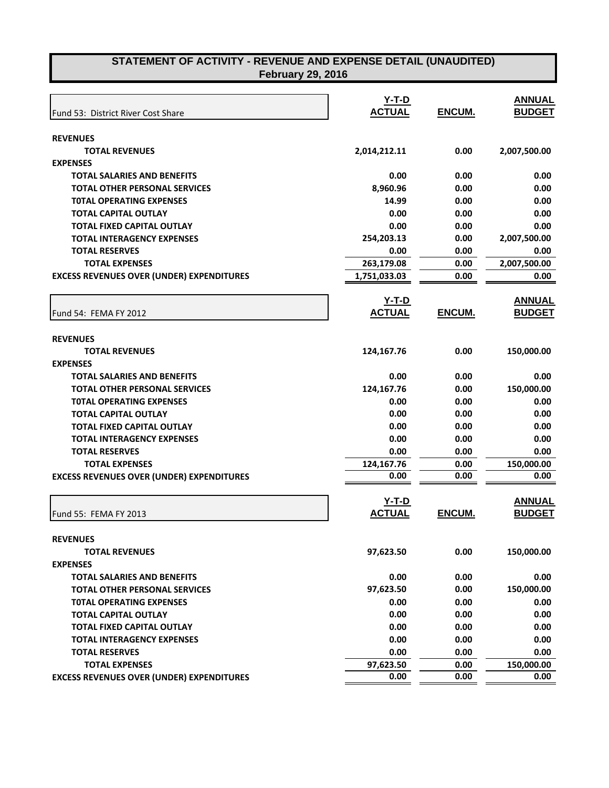| Fund 53: District River Cost Share               | Y-T-D<br><b>ACTUAL</b> | ENCUM. | <b>ANNUAL</b><br><b>BUDGET</b> |
|--------------------------------------------------|------------------------|--------|--------------------------------|
| <b>REVENUES</b>                                  |                        |        |                                |
| <b>TOTAL REVENUES</b>                            | 2,014,212.11           | 0.00   | 2,007,500.00                   |
| <b>EXPENSES</b>                                  |                        |        |                                |
| <b>TOTAL SALARIES AND BENEFITS</b>               | 0.00                   | 0.00   | 0.00                           |
| <b>TOTAL OTHER PERSONAL SERVICES</b>             | 8,960.96               | 0.00   | 0.00                           |
| <b>TOTAL OPERATING EXPENSES</b>                  | 14.99                  | 0.00   | 0.00                           |
| <b>TOTAL CAPITAL OUTLAY</b>                      | 0.00                   | 0.00   | 0.00                           |
| <b>TOTAL FIXED CAPITAL OUTLAY</b>                | 0.00                   | 0.00   | 0.00                           |
| <b>TOTAL INTERAGENCY EXPENSES</b>                | 254,203.13             | 0.00   | 2,007,500.00                   |
| <b>TOTAL RESERVES</b>                            | 0.00                   | 0.00   | 0.00                           |
| <b>TOTAL EXPENSES</b>                            | 263,179.08             | 0.00   | 2,007,500.00                   |
| <b>EXCESS REVENUES OVER (UNDER) EXPENDITURES</b> | 1,751,033.03           | 0.00   | 0.00                           |
|                                                  | <u>Y-T-D</u>           |        | <b>ANNUAL</b>                  |
| Fund 54: FEMA FY 2012                            | <b>ACTUAL</b>          | ENCUM. | <b>BUDGET</b>                  |
| <b>REVENUES</b>                                  |                        |        |                                |
| <b>TOTAL REVENUES</b>                            | 124,167.76             | 0.00   | 150,000.00                     |
| <b>EXPENSES</b>                                  |                        |        |                                |
| <b>TOTAL SALARIES AND BENEFITS</b>               | 0.00                   | 0.00   | 0.00                           |
| <b>TOTAL OTHER PERSONAL SERVICES</b>             | 124,167.76             | 0.00   | 150,000.00                     |
| <b>TOTAL OPERATING EXPENSES</b>                  | 0.00                   | 0.00   | 0.00                           |
| <b>TOTAL CAPITAL OUTLAY</b>                      | 0.00                   | 0.00   | 0.00                           |
| <b>TOTAL FIXED CAPITAL OUTLAY</b>                | 0.00                   | 0.00   | 0.00                           |
| <b>TOTAL INTERAGENCY EXPENSES</b>                | 0.00                   | 0.00   | 0.00                           |
| <b>TOTAL RESERVES</b>                            | 0.00                   | 0.00   | 0.00                           |
| <b>TOTAL EXPENSES</b>                            | 124,167.76             | 0.00   | 150,000.00                     |
| <b>EXCESS REVENUES OVER (UNDER) EXPENDITURES</b> | 0.00                   | 0.00   | 0.00                           |
|                                                  |                        |        |                                |
|                                                  | $Y-T-D$                |        | <b>ANNUAL</b>                  |
| Fund 55: FEMA FY 2013                            | <b>ACTUAL</b>          | ENCUM. | <b>BUDGET</b>                  |
| <b>REVENUES</b>                                  |                        |        |                                |
| <b>TOTAL REVENUES</b>                            | 97,623.50              | 0.00   | 150,000.00                     |
| <b>EXPENSES</b>                                  |                        |        |                                |
| <b>TOTAL SALARIES AND BENEFITS</b>               | 0.00                   | 0.00   | 0.00                           |
| <b>TOTAL OTHER PERSONAL SERVICES</b>             | 97,623.50              | 0.00   | 150,000.00                     |
| <b>TOTAL OPERATING EXPENSES</b>                  | 0.00                   | 0.00   | 0.00                           |
| <b>TOTAL CAPITAL OUTLAY</b>                      | 0.00                   | 0.00   | 0.00                           |
| <b>TOTAL FIXED CAPITAL OUTLAY</b>                | 0.00                   | 0.00   | 0.00                           |
| <b>TOTAL INTERAGENCY EXPENSES</b>                | 0.00                   | 0.00   | 0.00                           |
| <b>TOTAL RESERVES</b>                            | 0.00                   | 0.00   | 0.00                           |
| <b>TOTAL EXPENSES</b>                            | 97,623.50              | 0.00   | 150,000.00                     |
| <b>EXCESS REVENUES OVER (UNDER) EXPENDITURES</b> | 0.00                   | 0.00   | 0.00                           |